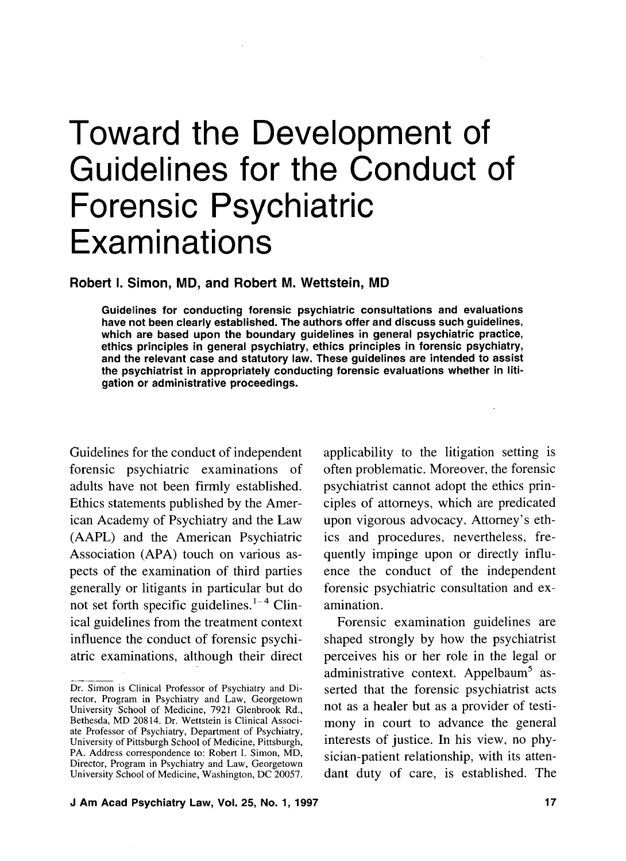# Toward the Development of Guidelines for the Conduct of Forensic Psychiatric **Examinations**

## **Robert I. Simon, MD, and Robert M. Wettstein, MD**

**Guidelines for conducting forensic psychiatric consultations and evaluations have not been clearly established. The authors offer and discuss such guidelines, which are based upon the boundary guidelines in general psychiatric practice, ethics principles in general psychiatry, ethics principles in forensic psychiatry, and the relevant case and statutory law. These guidelines are intended to assist the psychiatrist in appropriately conducting forensic evaluations whether in litigation-or administraiive proceedings.** 

Guidelines for the conduct of independent forensic psychiatric examinations of adults have not been firmly established. Ethics statements published by the American Academy of Psychiatry and the Law (AAPL) and the American Psychiatric Association (APA) touch on various aspects of the examination of third parties generally or litigants in particular but do not set forth specific guidelines. $1-4$  Clinical guidelines from the treatment context influence the conduct of forensic psychiatric examinations, although their direct applicability to the litigation setting is often problematic. Moreover, the forensic psychiatrist cannot adopt the ethics principles of attorneys, which are predicated upon vigorous advocacy. Attorney's ethics and procedures, nevertheless, frequently impinge upon or directly influence the conduct of the independent forensic psychiatric consultation and examination.

Forensic examination guidelines are shaped strongly by how the psychiatrist perceives his or her role in the legal or administrative context. Appelbaum<sup>5</sup> asserted that the forensic psychiatrist acts not as a healer but as a provider of testimony in court to advance the general interests of justice. In his view, no physician-patient relationship, with its attendant duty of care, is established. The

Dr. Simon is Clinical Professor of Psychiatry and Director, Program in Psychiatry and Law, Georgetown University School of Medicine, 7921 Glenbrook Rd., Bethesda, MD 20814. Dr. Wettstein is Clinical Associate Professor of Psychiatry, Department of Psychiatry, University of Pittsburgh School of Medicine, Pittsburgh, PA. Address correspondence to: Robert I. Simon, MD, Director, Program in Psychiatry and Law, Georgetown University School of Medicine, Washington, DC 20057.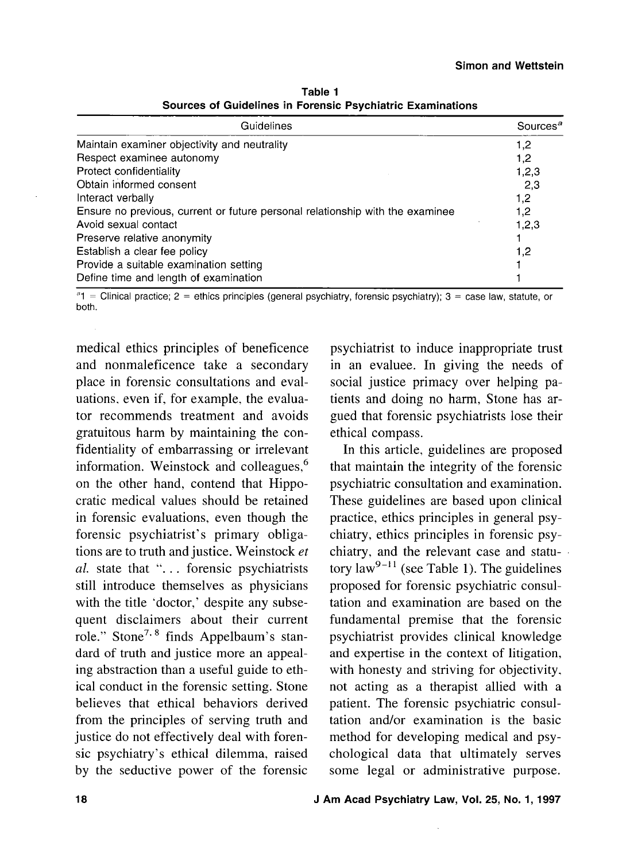| Guidelines                                                                    | Sources <sup>a</sup> |
|-------------------------------------------------------------------------------|----------------------|
| Maintain examiner objectivity and neutrality                                  | 1,2                  |
| Respect examinee autonomy                                                     | 1,2                  |
| Protect confidentiality                                                       | 1,2,3                |
| Obtain informed consent                                                       | 2,3                  |
| Interact verbally                                                             | 1,2                  |
| Ensure no previous, current or future personal relationship with the examinee | 1,2                  |
| Avoid sexual contact                                                          | 1,2,3                |
| Preserve relative anonymity                                                   |                      |
| Establish a clear fee policy                                                  | 1,2                  |
| Provide a suitable examination setting                                        |                      |
| Define time and length of examination                                         |                      |

**Table 1 Sources of Guidelines in Forensic Psychiatric Examinations** 

 $a_1$  = Clinical practice; 2 = ethics principles (general psychiatry, forensic psychiatry); 3 = case law, statute, or both.

medical ethics principles of beneficence and nonmaleficence take a secondary place in forensic consultations and evaluations, even if, for example, the evaluator recommends treatment and avoids gratuitous harm by maintaining the confidentiality of embarrassing or irrelevant information. Weinstock and colleagues,<sup>6</sup> on the other hand, contend that Hippocratic medical values should be retained in forensic evaluations, even though the forensic psychiatrist's primary obligations are to truth and justice. Weinstock *et*  al. state that "... forensic psychiatrists still introduce themselves as physicians with the title 'doctor,' despite any subsequent disclaimers about their current role." Stone<sup>7, 8</sup> finds Appelbaum's standard of truth and justice more an appealing abstraction than a useful guide to ethical conduct in the forensic setting. Stone believes that ethical behaviors derived from the principles of serving truth and justice do not effectively deal with forensic psychiatry's ethical dilemma, raised by the seductive power of the forensic

psychiatrist to induce inappropriate trust in an evaluee. In giving the needs of social justice primacy over helping patients and doing no harm, Stone has argued that forensic psychiatrists lose their ethical compass.

In this article, guidelines are proposed that maintain the integrity of the forensic psychiatric consultation and examination. These guidelines are based upon clinical practice, ethics principles in general psychiatry, ethics principles in forensic psychiatry, and the relevant case and statutory law<sup>9-11</sup> (see Table 1). The guidelines proposed for forensic psychiatric consultation and examination are based on the fundamental premise that the forensic psychiatrist provides clinical knowledge and expertise in the context of litigation, with honesty and striving for objectivity, not acting as a therapist allied with a patient. The forensic psychiatric consultation and/or examination is the basic method for developing medical and psychological data that ultimately serves some legal or administrative purpose.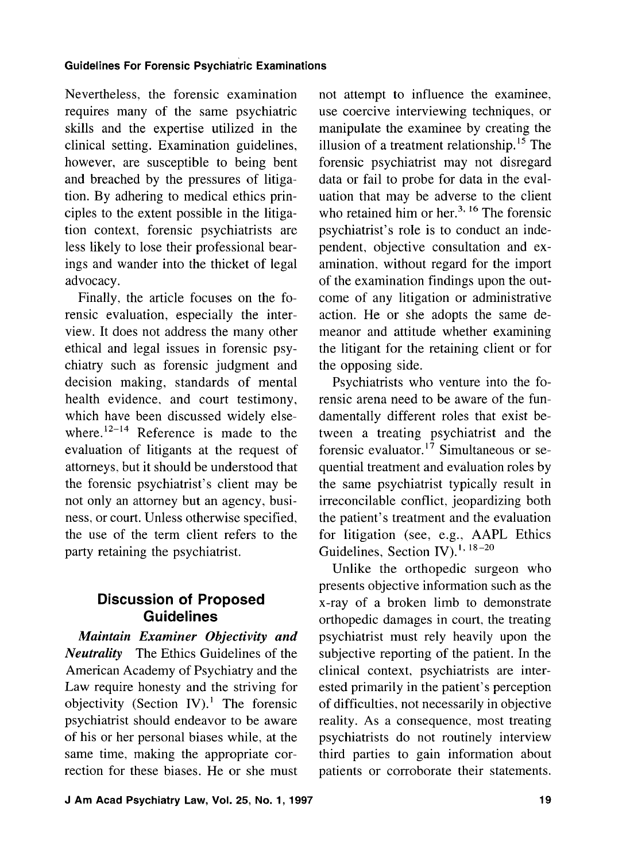Nevertheless, the forensic examination requires many of the same psychiatric skills and the expertise utilized in the clinical setting. Examination guidelines, however, are susceptible to being bent and breached by the pressures of litigation. By adhering to medical ethics principles to the extent possible in the litigation context, forensic psychiatrists are less likely to lose their professional bearings and wander into the thicket of legal advocacy.

Finally, the article focuses on the forensic evaluation, especially the interview. It does not address the many other ethical and legal issues in forensic psychiatry such as forensic judgment and decision making, standards of mental health evidence, and court testimony, which have been discussed widely elsewhere. $12-14$  Reference is made to the evaluation of litigants at the request of attorneys, but it should be understood that the forensic psychiatrist's client may be not only an attorney but an agency, business, or court. Unless otherwise specified, the use of the term client refers to the party retaining the psychiatrist.

# **Discussion of Proposed Guidelines**

*Maintain Examiner Objectivity and Neutrality* The Ethics Guidelines of the American Academy of Psychiatry and the Law require honesty and the striving for objectivity (Section IV).' The forensic psychiatrist should endeavor to be aware of his or her personal biases while, at the same time, making the appropriate correction for these biases. He or she must

not attempt to influence the examinee, use coercive interviewing techniques, or manipulate the examinee by creating the illusion of a treatment relationship.15 The forensic psychiatrist may not disregard data or fail to probe for data in the evaluation that may be adverse to the client who retained him or her.<sup>3, 16</sup> The forensic psychiatrist's role is to conduct an independent, objective consultation and examination. without regard for the import of the examination findings upon the outcome of any litigation or administrative action. He or she adopts the same demeanor and attitude whether examining the litigant for the retaining client or for the opposing side.

Psychiatrists who venture into the forensic arena need to be aware of the fundamentally different roles that exist between a treating psychiatrist and the forensic evaluator.I7 Simultaneous or sequential treatment and evaluation roles by the same psychiatrist typically result in irreconcilable conflict, jeopardizing both the patient's treatment and the evaluation for litigation (see, e.g., AAPL Ethics Guidelines, Section IV).<sup>1, 18-20</sup>

Unlike the orthopedic surgeon who presents objective information such as the x-ray of a broken limb to demonstrate orthopedic damages in court, the treating psychiatrist must rely heavily upon the subjective reporting of the patient. In the clinical context, psychiatrists are interested primarily in the patient's perception of difficulties, not necessarily in objective reality. As a consequence, most treating psychiatrists do not routinely interview third parties to gain information about patients or corroborate their statements.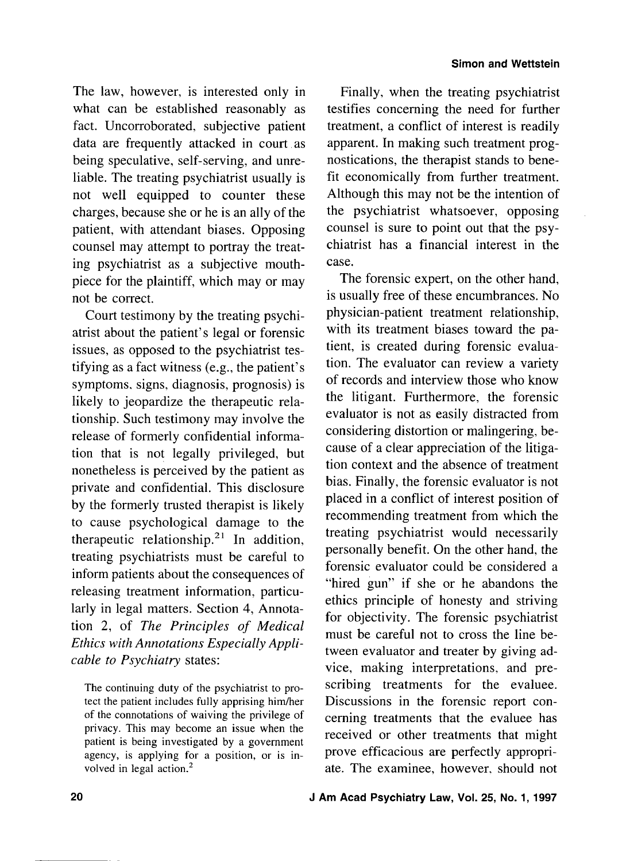The law, however, is interested only in what can be established reasonably as fact. Uncorroborated, subjective patient data are frequently attacked in court as being speculative, self-serving, and unreliable. The treating psychiatrist usually is not well equipped to counter these charges, because she or he is an ally of the patient, with attendant biases. Opposing counsel may attempt to portray the treating psychiatrist as a subjective mouthpiece for the plaintiff, which may or may not be correct.

Court testimony by the treating psychiatrist about the patient's legal or forensic issues, as opposed to the psychiatrist testifying as a fact witness (e.g., the patient's symptoms. signs, diagnosis, prognosis) is likely to jeopardize the therapeutic relationship. Such testimony may involve the release of formerly confidential information that is not legally privileged, but nonetheless is perceived by the patient as private and confidential. This disclosure by the formerly trusted therapist is likely to cause psychological damage to the therapeutic relationship.<sup>21</sup> In addition, treating psychiatrists must be careful to inform patients about the consequences of releasing treatment information, particularly in legal matters. Section 4, Annotation 2, of *The Principles* of *Medical Ethics with Annotations Especially Applicable to Psychiatry* states:

The continuing duty of the psychiatrist to protect the patient includes fully apprising him/her of the connotations of waiving the privilege of privacy. This may become an issue when the patient is being investigated by a government agency, is applying for a position, or is involved in legal action.<sup>2</sup>

Finally, when the treating psychiatrist testifies concerning the need for further treatment, a conflict of interest is readily apparent. In making such treatment prognostications, the therapist stands to benefit economically from further treatment. Although this may not be the intention of the psychiatrist whatsoever, opposing counsel is sure to point out that the psychiatrist has a financial interest in the case.

The forensic expert, on the other hand, is usually free of these encumbrances. No physician-patient treatment relationship, with its treatment biases toward the patient, is created during forensic evaluation. The evaluator can review a variety of records and interview those who know the litigant. Furthermore, the forensic evaluator is not as easily distracted from considering distortion or malingering, because of a clear appreciation of the litigation context and the absence of treatment bias. Finally, the forensic evaluator is not placed in a conflict of interest position of recommending treatment from which the treating psychiatrist would necessarily personally benefit. On the other hand, the forensic evaluator could be considered a "hired gun" if she or he abandons the ethics principle of honesty and striving for objectivity. The forensic psychiatrist must be careful not to cross the line between evaluator and treater by giving advice, making interpretations, and prescribing treatments for the evaluee. Discussions in the forensic report concerning treatments that the evaluee has received or other treatments that might prove efficacious are perfectly appropriate. The examinee, however. should not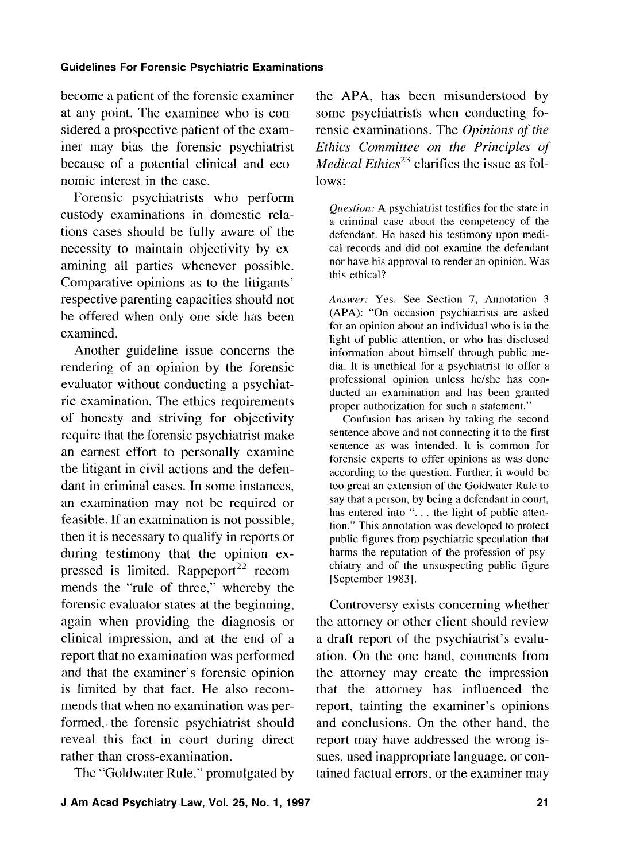become a patient of the forensic examiner at any point. The examinee who is considered a prospective patient of the examiner may bias the forensic psychiatrist because of a potential clinical and economic interest in the case.

Forensic psychiatrists who perform custody examinations in domestic relations cases should be fully aware of the necessity to maintain objectivity by examining all parties whenever possible. Comparative opinions as to the litigants' respective parenting capacities should not be offered when only one side has been examined.

Another guideline issue concerns the rendering of an opinion by the forensic evaluator without conducting a psychiatric examination. The ethics requirements of honesty and striving for objectivity require that the forensic psychiatrist make an earnest effort to personally examine the litigant in civil actions and the defendant in criminal cases. In some instances, an examination may not be required or feasible. If an examination is not possible, then it is necessary to qualify in reports or during testimony that the opinion expressed is limited.  $Rappeport^{22}$  recommends the "rule of three," whereby the forensic evaluator states at the beginning, again when providing the diagnosis or clinical impression, and at the end of a report that no examination was performed and that the examiner's forensic opinion is limited by that fact. He also recommends that when no examination was performed, the forensic psychiatrist should reveal this fact in court during direct rather than cross-examination.

The "Goldwater Rule," promulgated by

the APA, has been misunderstood by some psychiatrists when conducting forensic examinations. The Opinions of the Ethics Committee on the Principles of *Medical Ethics*<sup>23</sup> clarifies the issue as follows:

*Question:* A psychiatrist testifies for the state in a criminal case about the competency of the defendant. He based his testimony upon medical records and did not examine the defendant nor have his approval to render an opinion. Was this ethical?

*Answer:* Yes. See Section 7, Annotation 3 (APA): "On occasion psychiatrists are asked for an opinion about an individual who is in the light of public attention, or who has disclosed information about himself through public media. It is unethical for a psychiatrist to offer a professional opinion unless helshe has conducted an examination and has been granted proper authorization for such a statement."

Confusion has arisen by taking the second sentence above and not connecting it to the first sentence as was intended. It is common for forensic experts to offer opinions as was done according to the question. Further, it would be too great an extension of the Goldwater Rule to say that a person, by being a defendant in court, has entered into "... the light of public attention." This annotation was developed to protect public figures from psychiatric speculation that harms the reputation of the profession of psychiatry and of the unsuspecting public figure [September 1983].

Controversy exists concerning whether the attorney or other client should review a draft report of the psychiatrist's evaluation. On the one hand, comments from the attorney may create the impression that the attorney has influenced the report, tainting the examiner's opinions and conclusions. On the other hand, the report may have addressed the wrong issues, used inappropriate language. or contained factual errors, or the examiner may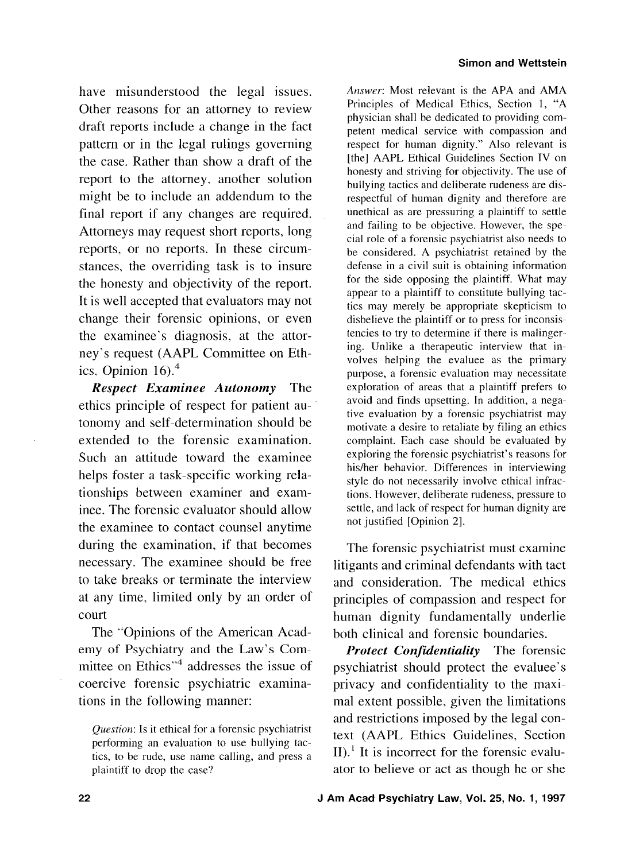have misunderstood the legal issues. Other reasons for an attorney to review draft reports include a change in the fact pattern or in the legal rulings governing the case. Rather than show a draft of the report to the attorney. another solution might be to include an addendum to the final report if any changes are required. Attorneys may request short reports, long reports, or no reports. In these circumstances, the overriding task is to insure the honesty and objectivity of the report. It is well accepted that evaluators may not change their forensic opinions, or even the examinee's diagnosis, at the attorney's request (AAPL Committee on Ethics. Opinion  $16$ . $<sup>4</sup>$ </sup>

*Respect Examinee Autonomy* The ethics principle of respect for patient autonomy and self-determination should be extended to the forensic examination. Such an attitude toward the examinee helps foster a task-specific working relationships between examiner and examinee. The forensic evaluator should allow the examinee to contact counsel anytime during the examination, if that becomes necessary. The examinee should be free to take breaks or terminate the interview at any time. limited only by an order of court

The "Opinions of the American Academy of Psychiatry and the Law's Committee on Ethics"<sup>4</sup> addresses the issue of coercive forensic psychiatric examinations in the following manner:

Answer: Most relevant is the APA and AMA Principles of Medical Ethics, Section 1, "A physician shall be dedicated to providing competent medical service with compassion and respect for human dignity." Also relevant is [the] AAPL Ethical Guidelines Section IV on honesty and striving for objectivity. The use of bullying tactics and deliberate rudeness are disrespectful of human dignity and therefore are unethical as are pressuring a plaintiff to settle and failing to be objective. However, the special role of a forensic psychiatrist also needs to be considered. A psychiatrist retained by the defense in a civil suit is obtaining information for the side opposing the plaintiff. What may appear to a plaintiff to constitute bullying tactics may merely be appropriate skepticism to disbelieve the plaintiff or to press for inconsistencies to try to determine if there is malingering. Unlike a therapeutic interview that involves helping the evaluee as the primary purpose, a forensic evaluation may necessitate exploration of areas that a plaintiff prefers to avoid and finds upsetting. In addition, a negative evaluation by a forensic psychiatrist may motivate a desire to retaliate by filing an ethics complaint. Each case should be evaluated by exploring the forensic psychiatrist's reasons for hisher behavior. Differences in interviewing style do not necessarily involve ethical infractions. However, deliberate rudeness, pressure to settle, and lack of respect for human dignity are not justified [Opinion 21.

The forensic psychiatrist must examine litigants and criminal defendants with tact and consideration. The medical ethics principles of compassion and respect for human dignity fundamentally underlie both clinical and forensic boundaries.

*Protect Confidentiality* The forensic psychiatrist should protect the evaluee's privacy and confidentiality to the maximal extent possible. given the limitations and restrictions imposed by the legal context (AAPL Ethics Guidelines, Section II).<sup>1</sup> It is incorrect for the forensic evaluator to believe or act as though he or she

Question: Is it ethical for a forensic psychiatrist performing an evaluation to use bullying tactics, to be rude, use name calling, and press a plaintiff to drop the case?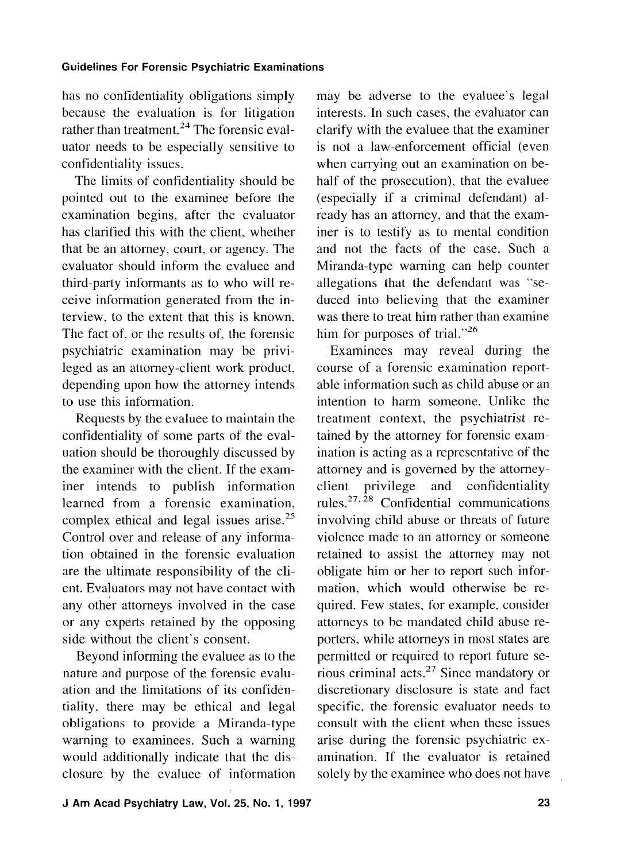has no confidentiality obligations simply because the evaluation is for litigation rather than treatment.<sup>24</sup> The forensic evaluator needs to be especially sensitive to confidentiality issues.

The limits of confidentiality should be pointed out to the examinee before the examination begins, after the evaluator has clarified this with the client, whether that be an attorney, court, or agency. The evaluator should inform the evaluee and third-party informants as to who will receive information generated from the interview. to the extent that this is known. The fact of, or the results of. the forensic psychiatric examination may be privileged as an attorney-client work product, depending upon how the attorney intends to use this information.

Requests by the evaluee to maintain the confidentiality of some parts of the evaluation should be thoroughly discussed by the examiner with the client. If the examiner intends to publish information learned from a forensic examination, complex ethical and legal issues arise.25 Control over and release of any information obtained in the forensic evaluation are the ultimate responsibility of the client. Evaluators may not have contact with any other attorneys involved in the case or any experts retained by the opposing side without the client's consent.

Beyond informing the evaluee as to the nature and purpose of the forensic evaluation and the limitations of its confidentiality, there may be ethical and legal obligations to provide a Miranda-type warning to examinees. Such a warning would additionally indicate that the disclosure by the evaluee of information may be adverse to the evaluee's legal interests. In such cases, the evaluator can clarify with the evaluee that the examiner is not a law-enforcement official (even when carrying out an examination on behalf of the prosecution), that the evaluee (especially if a criminal defendant) already has an attorney, and that the examiner is to testify as to mental condition and not the facts of the case. Such a Miranda-type warning can help counter allegations that the defendant was "seduced into believing that the examiner was there to treat him rather than examine him for purposes of trial." $^{26}$ 

Examinees may reveal during the course of a forensic examination reportable information such as child abuse or an intention to harm someone. Unlike the treatment context, the psychiatrist retained by the attorney for forensic examination is acting as a representative of the attorney and is governed by the attorneyclient privilege and confidentiality rules. $27.28$  Confidential communications involving child abuse or threats of future violence made to an attorney or someone retained to assist the attorney may not obligate him or her to report such information, which would otherwise be required. Few states, for example, consider attorneys to be mandated child abuse reporters, while attorneys in most states are permitted or required to report future serious criminal  $\arccos^2$  Since mandatory or discretionary disclosure is state and fact specific. the forensic evaluator needs to consult with the client when these issues arise during the forensic psychiatric examination. If the evaluator is retained solely by the examinee who does not have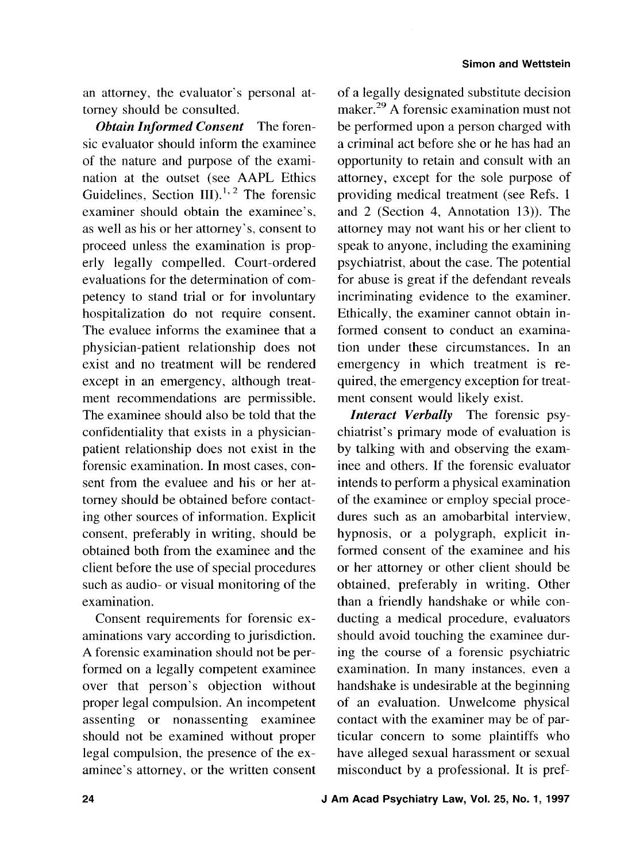an attorney, the evaluator's personal attorney should be consulted.

*Obtain Informed Consent* The forensic evaluator should inform the examinee of the nature and purpose of the examination at the outset (see AAPL Ethics Guidelines, Section III). $^{1,2}$  The forensic examiner should obtain the examinee's, as well as his or her attorney's, consent to proceed unless the examination is properly legally compelled. Court-ordered evaluations for the determination of competency to stand trial or for involuntary hospitalization do not require consent. The evaluee informs the examinee that a physician-patient relationship does not exist and no treatment will be rendered except in an emergency, although treatment recommendations are permissible. The examinee should also be told that the confidentiality that exists in a physicianpatient relationship does not exist in the forensic examination. In most cases, consent from the evaluee and his or her attorney should be obtained before contacting other sources of information. Explicit consent, preferably in writing, should be obtained both from the examinee and the client before the use of special procedures such as audio- or visual monitoring of the examination.

Consent requirements for forensic examinations vary according to jurisdiction. A forensic examination should not be performed on a legally competent examinee over that person's objection without proper legal compulsion. An incompetent assenting or nonassenting examinee should not be examined without proper legal compulsion, the presence of the examinee's attorney. or the written consent

of a legally designated substitute decision maker.<sup>29</sup> A forensic examination must not be performed upon a person charged with a criminal act before she or he has had an opportunity to retain and consult with an attorney, except for the sole purpose of providing medical treatment (see Refs. 1 and 2 (Section 4, Annotation 13)). The attorney may not want his or her client to speak to anyone, including the examining psychiatrist, about the case. The potential for abuse is great if the defendant reveals incriminating evidence to the examiner. Ethically, the examiner cannot obtain informed consent to conduct an examination under these circumstances. In an emergency in which treatment is required, the emergency exception for treatment consent would likely exist.

*Interact Verbally* The forensic psychiatrist's primary mode of evaluation is by talking with and observing the examinee and others. If the forensic evaluator intends to perform a physical examination of the examinee or employ special procedures such as an amobarbital interview, hypnosis, or a polygraph, explicit informed consent of the examinee and his or her attorney or other client should be obtained, preferably in writing. Other than a friendly handshake or while conducting a medical procedure, evaluators should avoid touching the examinee during the course of a forensic psychiatric examination. In many instances. even a handshake is undesirable at the beginning of an evaluation. Unwelcome physical contact with the examiner may be of particular concern to some plaintiffs who have alleged sexual harassment or sexual misconduct by a professional. It is pref-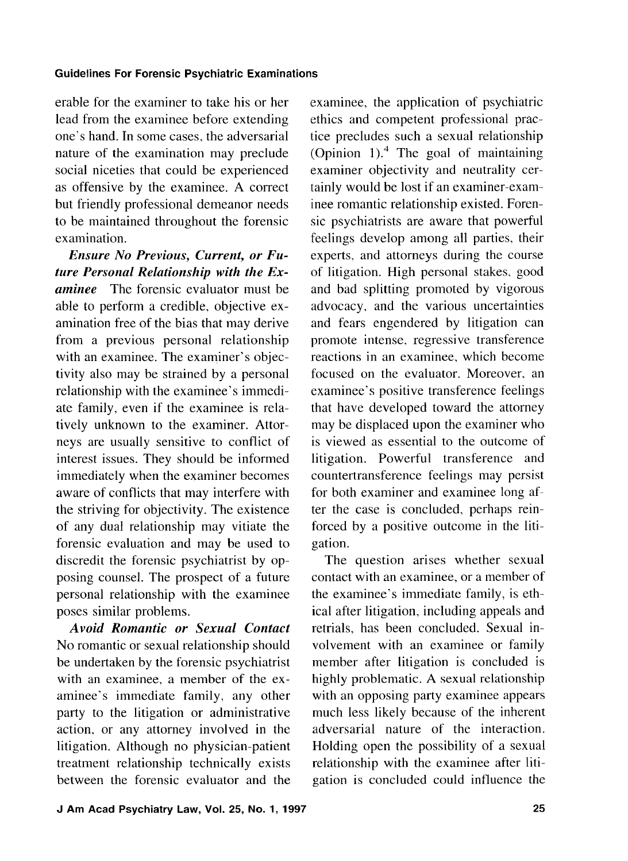erable for the examiner to take his or her lead from the examinee before extending one's hand. In some cases, the adversarial nature of the examination may preclude social niceties that could be experienced as offensive by the examinee. A correct but friendly professional demeanor needs to be maintained throughout the forensic examination.

*Ensure No Previous, Current, or Future Personal Relationship with the Examinee* The forensic evaluator must be able to perform a credible, objective examination free of the bias that may derive from a previous personal relationship with an examinee. The examiner's objectivity also may be strained by a personal relationship with the examinee's immediate family, even if the examinee is relatively unknown to the examiner. Attorneys are usually sensitive to conflict of interest issues. They should be informed immediately when the examiner becomes aware of conflicts that may interfere with the striving for objectivity. The existence of any dual relationship may vitiate the forensic evaluation and may be used to discredit the forensic psychiatrist by opposing counsel. The prospect of a future personal relationship with the examinee poses similar problems.

*Avoid Romantic or Sexual Contact*  No romantic or sexual relationship should be undertaken by the forensic psychiatrist with an examinee, a member of the examinee's immediate family, any other party to the litigation or administrative action, or any attorney involved in the litigation. Although no physician-patient treatment relationship technically exists between the forensic evaluator and the

examinee, the application of psychiatric ethics and competent professional practice precludes such a sexual relationship (Opinion 1). $4$  The goal of maintaining examiner objectivity and neutrality certainly would be lost if an examiner-examinee romantic relationship existed. Forensic psychiatrists are aware that powerful feelings develop among all parties, their experts, and attorneys during the course of litigation. High personal stakes, good and bad splitting promoted by vigorous advocacy, and the various uncertainties and fears engendered by litigation can promote intense, regressive transference reactions in an examinee, which become focused on the evaluator. Moreover. an examinee's positive transference feelings that have developed toward the attorney may be displaced upon the examiner who is viewed as essential to the outcome of litigation. Powerful transference and countertransference feelings may persist for both examiner and examinee long after the case is concluded, perhaps reinforced by a positive outcome in the litigation.

The question arises whether sexual contact with an examinee, or a member of the examinee's immediate family, is ethical after litigation, including appeals and retrials. has been concluded. Sexual involvement with an examinee or family member after litigation is concluded is highly problematic. A sexual relationship with an opposing party examinee appears much less likely because of the inherent adversarial nature of the interaction. Holding open the possibility of a sexual relationship with the examinee after litigation is concluded could influence the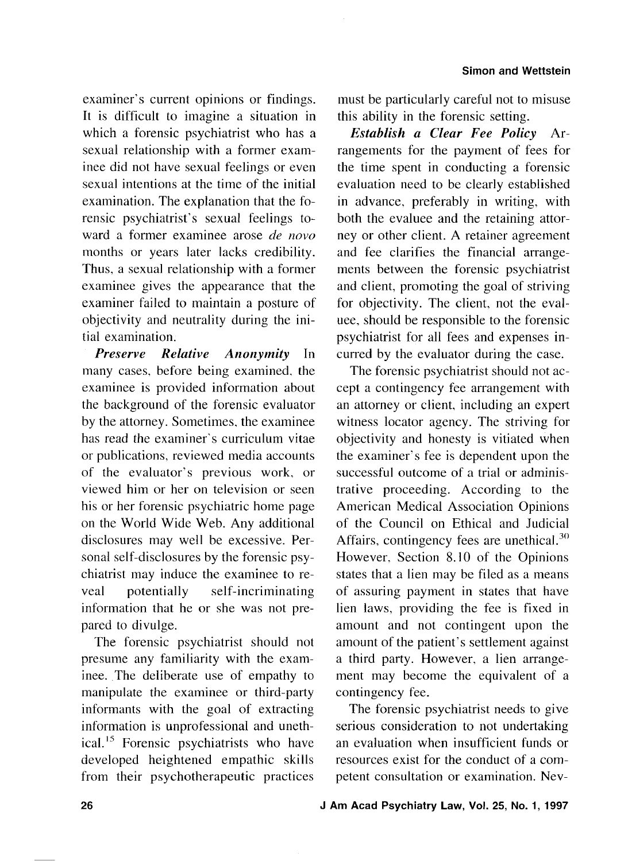examiner's current opinions or findings. It is difficult to imagine a situation in which a forensic psychiatrist who has a sexual relationship with a former exaninee did not have sexual feelings or even sexual intentions at the time of the initial examination. The explanation that the forensic psychiatrist's sexual feelings toward a former examinee arose *de novo* months or years later lacks credibility. Thus, a sexual relationship with a former examinee gives the appearance that the examiner failed to maintain a posture of objectivity and neutrality during the initial examination.

*Preserve Relative Anonymity* In many cases, before being examined. the examinee is provided information about the background of the forensic evaluator by the attorney. Sometimes, the examinee has read the examiner's curriculum vitae or publications, reviewed media accounts of the evaluator's previous work, or viewed him or her on television or seen his or her forensic psychiatric home page on the World Wide Web. Any additional disclosures may well be excessive. Personal self-disclosures by the forensic psychiatrist may induce the examinee to reveal potentially self-incriminating information that he or she was not prepared to divulge.

The forensic psychiatrist should not presume any familiarity with the examinee. The deliberate use of empathy to manipulate the examinee or third-party informants with the goal of extracting information is unprofessional and unethical.<sup>15</sup> Forensic psychiatrists who have developed heightened empathic skills from their psychotherapeutic practices must be particularly careful not to misuse this ability in the forensic setting.

*Establish a Clear Fee Policy* Arrangements for the payment of fees for the time spent in conducting a forensic evaluation need to be clearly established in advance. preferably in writing, with both the evaluee and the retaining attorney or other client. A retainer agreement and fee clarifies the financial arrangements between the forensic psychiatrist and client, promoting the goal of striving for objectivity. The client, not the evaluee, should be responsible to the forensic psychiatrist for all fees and expenses incurred by the evaluator during the case.

The forensic psychiatrist should not accept a contingency fee arrangement with an attorney or client, including an expert witness locator agency. The striving for objectivity and honesty is vitiated when the examiner's fee is dependent upon the successful outcome of a trial or administrative proceeding. According to the American Medical Association Opinions of the Council on Ethical and Judicial Affairs, contingency fees are unethical. $^{30}$ However. Section 8.10 of the Opinions states that a lien may be filed as a means of assuring payment in states that have lien laws, providing the fee is fixed in amount and not contingent upon the amount of the patient's settlement against a third party. However, a lien arrangement may become the equivalent of a contingency fee.

The forensic psychiatrist needs to give serious consideration to not undertaking an evaluation when insufficient funds or resources exist for the conduct of a competent consultation or examination. Nev-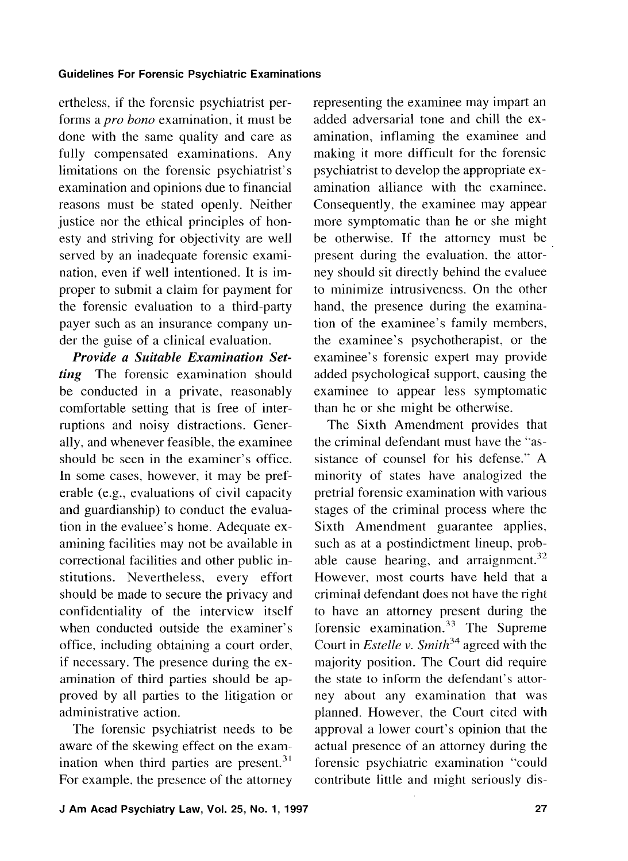ertheless. if the forensic psychiatrist performs a pro bono examination, it must be done with the same quality and care as fully compensated examinations. Any limitations on the forensic psychiatrist's examination and opinions due to financial reasons must be stated openly. Neither justice nor the ethical principles of honesty and striving for objectivity are well served by an inadequate forensic examination, even if well intentioned. It is improper to submit a claim for payment for the forensic evaluation to a third-party payer such as an insurance company under the guise of a clinical evaluation.

**Provide a Suitable Examination Set***ting* The forensic examination should be conducted in a private, reasonably comfortable setting that is free of interruptions and noisy distractions. Generally, and whenever feasible, the examinee should be seen in the examiner's office. In some cases, however, it may be preferable (e.g., evaluations of civil capacity and guardianship) to conduct the evaluation in the evaluee's home. Adequate examining facilities may not be available in correctional facilities and other public institutions. Nevertheless, every effort should be made to secure the privacy and confidentiality of the interview itself when conducted outside the examiner's office. including obtaining a court order, if necessary. The presence during the examination of third parties should be approved by all parties to the litigation or administrative action.

The forensic psychiatrist needs to be aware of the skewing effect on the examination when third parties are present. $31$ For example, the presence of the attorney representing the examinee may impart an added adversarial tone and chill the examination, inflaming the examinee and making it more difficult for the forensic psychiatrist to develop the appropriate examination alliance with the examinee. Consequently, the examinee may appear more symptomatic than he or she might be otherwise. If the attorney must be present during the evaluation, the attorney should sit directly behind the evaluee to minimize intrusiveness. On the other hand, the presence during the examination of the examinee's family members, the examinee's psychotherapist, or the examinee's forensic expert may provide added psychological support, causing the examinee to appear less symptomatic than he or she might be otherwise.

The Sixth Amendment provides that the criminal defendant must have the "assistance of counsel for his defense." A minority of states have analogized the pretrial forensic examination with various stages of the criminal process where the Sixth Amendment guarantee applies. such as at a postindictment lineup. probable cause hearing, and arraignment. $32$ However, most courts have held that a criminal defendant does not have the right to have an attorney present during the forensic examination. $33$  The Supreme Court in *Estelle v. Smith*<sup>34</sup> agreed with the majority position. The Court did require the state to inform the defendant's attorney about any examination that was planned. However, the Court cited with approval a lower court's opinion that the actual presence of an attorney during the forensic psychiatric examination "could contribute little and might seriously dis-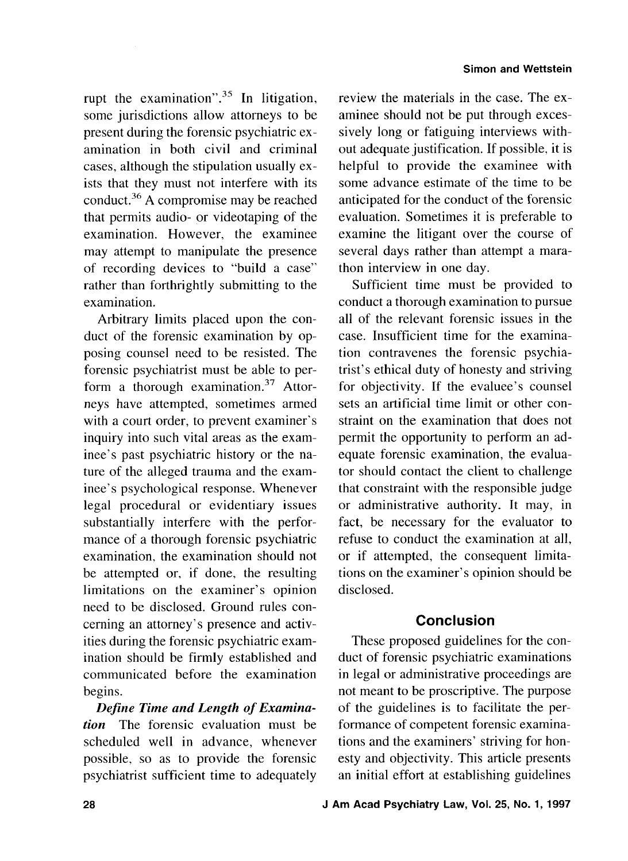rupt the examination". $35$  In litigation, some jurisdictions allow attorneys to be present during the forensic psychiatric examination in both civil and criminal cases, although the stipulation usually exists that they must not interfere with its conduct.<sup>36</sup> A compromise may be reached that permits audio- or videotaping of the examination. However, the examinee may attempt to manipulate the presence of recording devices to "build a case" rather than forthrightly submitting to the examination.

Arbitrary limits placed upon the conduct of the forensic examination by opposing counsel need to be resisted. The forensic psychiatrist must be able to perform a thorough examination. $37$  Attorneys have attempted, sometimes armed with a court order, to prevent examiner's inquiry into such vital areas as the examinee's past psychiatric history or the nature of the alleged trauma and the examinee's psychological response. Whenever legal procedural or evidentiary issues substantially interfere with the performance of a thorough forensic psychiatric examination, the examination should not be attempted or, if done, the resulting limitations on the examiner's opinion need to be disclosed. Ground rules concerning an attorney's presence and activities during the forensic psychiatric examination should be firmly established and communicated before the examination begins.

*Define Time and Length of Examination* The forensic evaluation must be scheduled well in advance, whenever possible, so as to provide the forensic psychiatrist sufficient time to adequately

review the materials in the case. The examinee should not be put through excessively long or fatiguing interviews without adequate justification. If possible, it is helpful to provide the examinee with some advance estimate of the time to be anticipated for the conduct of the forensic evaluation. Sometimes it is preferable to examine the litigant over the course of several days rather than attempt a marathon interview in one day.

Sufficient time must be provided to conduct a thorough examination to pursue all of the relevant forensic issues in the case. Insufficient time for the examination contravenes the forensic psychiatrist's ethical duty of honesty and striving for objectivity. If the evaluee's counsel sets an artificial time limit or other constraint on the examination that does not permit the opportunity to perform an adequate forensic examination, the evaluator should contact the client to challenge that constraint with the responsible judge or administrative authority. It may, in fact, be necessary for the evaluator to refuse to conduct the examination at all, or if attempted, the consequent limitations on the examiner's opinion should be disclosed.

# **Conclusion**

These proposed guidelines for the conduct of forensic psychiatric examinations in legal or administrative proceedings are not meant to be proscriptive. The purpose of the guidelines is to facilitate the performance of competent forensic examinations and the examiners' striving for honesty and objectivity. This article presents an initial effort at establishing guidelines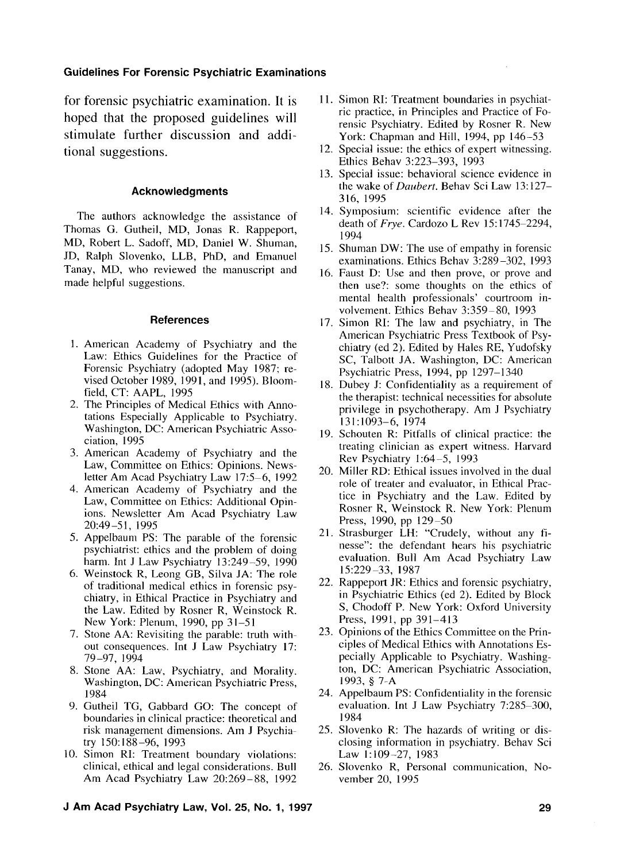for forensic psychiatric examination. It is hoped that the proposed guidelines will stimulate further discussion and additional suggestions.

#### **Acknowledgments**

The authors acknowledge the assistance of Thomas G. Gutheil, MD, Jonas R. Rappeport, MD, Robert L. Sadoff, MD, Daniel W. Shuman, JD, Ralph Slovenko, LLB, PhD, and Emanuel Tanay, MD, who reviewed the manuscript and made helpful suggestions.

#### **References**

- 1. American Academy of Psychiatry and the Law: Ethics Guidelines for the Practice of Forensic Psychiatry (adopted May 1987; revised October 1989, 1991, and 1995). Bloomfield, CT: AAPL, 1995
- 2. The Principles of Medical Ethics with Annotations Especially Applicable to Psychiatry. Washington, DC: American Psychiatric Association, 1995
- 3. American Academy of Psychiatry and the Law, Committee on Ethics: Opinions. Newsletter Am Acad Psychiatry Law 17:5-6, 1992
- 4. American Academy of Psychiatry and the Law, Committee on Ethics: Additional Opinions. Newsletter Am Acad Psychiatry Law 2O:49 -5 1, 1995
- 5. Appelbaum PS: The parable of the forensic psychiatrist: ethics and the problem of doing harm. Int J Law Psychiatry 13:249-59, 1990
- 6. Weinstock R, Leong GB, Silva JA: The role of traditional medical ethics in forensic psychiatry, in Ethical Practice in Psychiatry and the Law. Edited by Rosner R, Weinstock R. New York: Plenum, 1990, pp 31-51
- 7. Stone AA: Revisiting the parable: truth without consequences. Int J Law Psychiatry 17: 79-97, 1994
- 8. Stone AA: Law, Psychiatry, and Morality. Washington, DC: American Psychiatric Press, 1984
- 9. Gutheil TG, Gabbard GO: The concept of boundaries in clinical practice: theoretical and risk management dimensions. Am J Psychiatry 150: 188 -96, 1993
- 10. Simon RI: Treatment boundary violations: clinical, ethical and legal considerations. Bull Am Acad Psychiatry Law 20:269-88, 1992
- 11. Simon RI: Treatment boundaries in psychiatric practice, in Principles and Practice of Forensic Psychiatry. Edited by Rosner R. New York: Chapman and Hill, 1994, pp 146-53
- 12. Special issue: the ethics of expert witnessing. Ethics Behav 3:223-393, 1993
- 13. Special issue: behavioral science evidence in the wake of *Duubert.* Behav Sci Law 13: 127- 316, 1995
- 14. Symposium: scientific evidence after the death of *Frye.* Cardozo L Rev IS: 1745-2294, 1994
- 15. Shuman DW: The use of empathy in forensic examinations. Ethics Behav 3:289-302, 1993
- 16. Faust D: Use and then prove, or prove and then use?: some thoughts on the ethics of mental health professionals' courtroom involvement. Ethics Behav 3:359-80, 1993
- 17. Simon RI: The law and psychiatry, in The American Psychiatric Press Textbook of Psychiatry (ed 2). Edited by Hales RE, Yudofsky SC, Talbott JA. Washington, DC: American Psychiatric Press, 1994, pp 1297-1340
- 18. Dubey J: Confidentiality as a requirement of the therapist: technical necessities for absolute privilege in psychotherapy. Am J Psychiatry 131:1093-6, 1974
- 19. Schouten R: Pitfalls of clinical practice: the treating clinician as expert witness. Harvard Rev Psychiatry 1:64-5, 1993
- 20. Miller RD: Ethical issues involved in the dual role of trealer and evaluator, in Ethical Practice in Psychiatry and the Law. Edited by Rosner R, Weinstock R. New York: Plenum Press, 1990, pp 129-50
- 21. Strasburger LH: "Crudely, without any finesse": the defendant hears his psychiatric evaluation. Bull Am Acad Psychiatry Law 15:229-33, 1987
- 22. Rappeport JR: Ethics and forensic psychiatry, in Psychiatric Ethics (ed 2). Edited by Block S, Chodoff P. New York: Oxford University Press, 1991, pp 391-413
- 23. Opinions of the Ethics Committee on the Principles of Medical Ethics with Annotations Especially Applicable to Psychiatry. Washington, DC: American Psychiatric Association, 1993, § 7-A
- 24. Appelbaum PS: Confidentiality in the forensic evaluation. Int J Law Psychiatry 7:285-300, I984
- 25. Slovenko R: The hazards of writing or disclosing information in psychiatry. Behav Sci Law 1:109-27, 1983
- 26. Slovenko R, Personal communication, November 20, 1995

#### **J Am Acad Psychiatry Law, Vol. 25, No. 1, 1997 29**